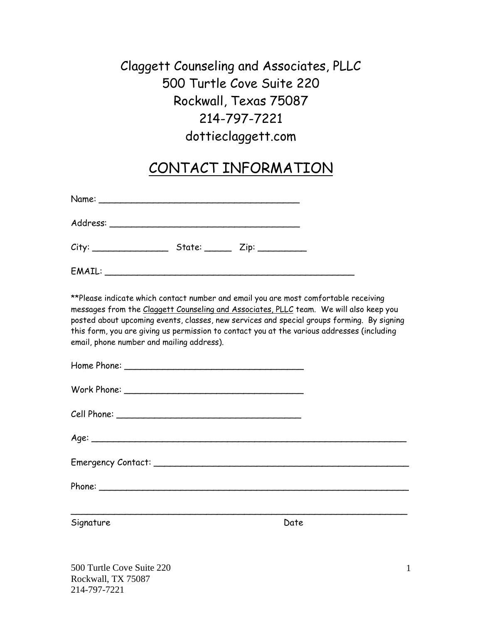# Claggett Counseling and Associates, PLLC 500 Turtle Cove Suite 220 Rockwall, Texas 75087 214-797-7221 dottieclaggett.com

## CONTACT INFORMATION

| City: _________________ | $State:$ $Zip:$ $\_\_$ |  |
|-------------------------|------------------------|--|
|                         |                        |  |

\*\*Please indicate which contact number and email you are most comfortable receiving messages from the Claggett Counseling and Associates, PLLC team. We will also keep you posted about upcoming events, classes, new services and special groups forming. By signing this form, you are giving us permission to contact you at the various addresses (including email, phone number and mailing address).

| Signature | Date |
|-----------|------|
|           |      |

500 Turtle Cove Suite 220 Rockwall, TX 75087 214-797-7221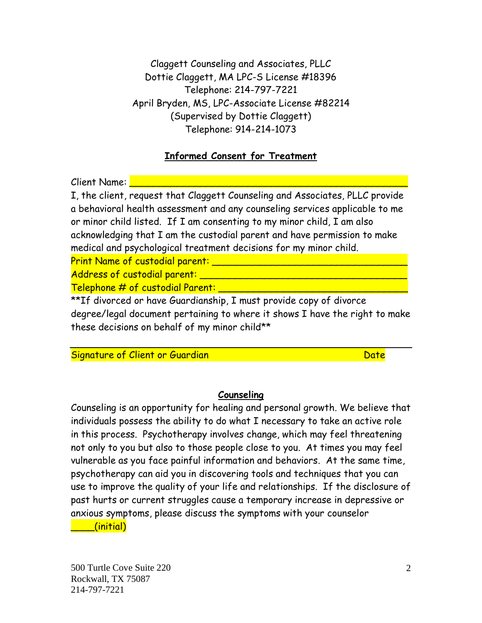Claggett Counseling and Associates, PLLC Dottie Claggett, MA LPC-S License #18396 Telephone: 214-797-7221 April Bryden, MS, LPC-Associate License #82214 (Supervised by Dottie Claggett) Telephone: 914-214-1073

#### **Informed Consent for Treatment**

Client Name: <mark>|</mark>

I, the client, request that Claggett Counseling and Associates, PLLC provide a behavioral health assessment and any counseling services applicable to me or minor child listed. If I am consenting to my minor child, I am also acknowledging that I am the custodial parent and have permission to make medical and psychological treatment decisions for my minor child.

Print Name of custodial parent: \_\_\_\_\_\_\_\_\_\_\_\_\_\_\_\_\_\_\_\_\_\_\_\_\_\_\_\_\_\_\_\_\_

Address of custodial parent: \_\_\_\_\_\_\_\_\_\_\_\_\_\_\_\_\_\_\_\_\_\_\_\_\_\_\_\_\_\_\_\_\_\_\_

 $\overline{\mathsf{Telephone}} \ncong \mathcal{H}$  of custodial Parent:

\*\*If divorced or have Guardianship, I must provide copy of divorce degree/legal document pertaining to where it shows I have the right to make these decisions on behalf of my minor child\*\*

Signature of Client or Guardian Date and Date Date Date

#### **Counseling**

Counseling is an opportunity for healing and personal growth. We believe that individuals possess the ability to do what I necessary to take an active role in this process. Psychotherapy involves change, which may feel threatening not only to you but also to those people close to you. At times you may feel vulnerable as you face painful information and behaviors. At the same time, psychotherapy can aid you in discovering tools and techniques that you can use to improve the quality of your life and relationships. If the disclosure of past hurts or current struggles cause a temporary increase in depressive or anxious symptoms, please discuss the symptoms with your counselor

\_\_\_\_(initial)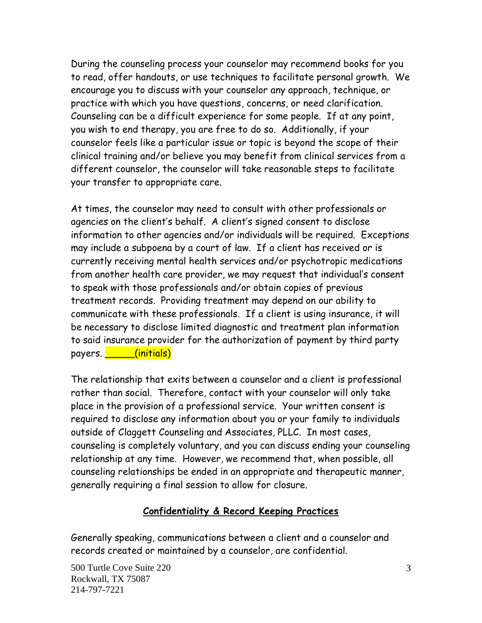During the counseling process your counselor may recommend books for you to read, offer handouts, or use techniques to facilitate personal growth. We encourage you to discuss with your counselor any approach, technique, or practice with which you have questions, concerns, or need clarification. Counseling can be a difficult experience for some people. If at any point, you wish to end therapy, you are free to do so. Additionally, if your counselor feels like a particular issue or topic is beyond the scope of their clinical training and/or believe you may benefit from clinical services from a different counselor, the counselor will take reasonable steps to facilitate your transfer to appropriate care.

At times, the counselor may need to consult with other professionals or agencies on the client's behalf. A client's signed consent to disclose information to other agencies and/or individuals will be required. Exceptions may include a subpoena by a court of law. If a client has received or is currently receiving mental health services and/or psychotropic medications from another health care provider, we may request that individual's consent to speak with those professionals and/or obtain copies of previous treatment records. Providing treatment may depend on our ability to communicate with these professionals. If a client is using insurance, it will be necessary to disclose limited diagnostic and treatment plan information to said insurance provider for the authorization of payment by third party payers. **\_\_\_\_\_(initials)** 

The relationship that exits between a counselor and a client is professional rather than social. Therefore, contact with your counselor will only take place in the provision of a professional service. Your written consent is required to disclose any information about you or your family to individuals outside of Claggett Counseling and Associates, PLLC. In most cases, counseling is completely voluntary, and you can discuss ending your counseling relationship at any time. However, we recommend that, when possible, all counseling relationships be ended in an appropriate and therapeutic manner, generally requiring a final session to allow for closure.

#### **Confidentiality & Record Keeping Practices**

Generally speaking, communications between a client and a counselor and records created or maintained by a counselor, are confidential.

500 Turtle Cove Suite 220 Rockwall, TX 75087 214-797-7221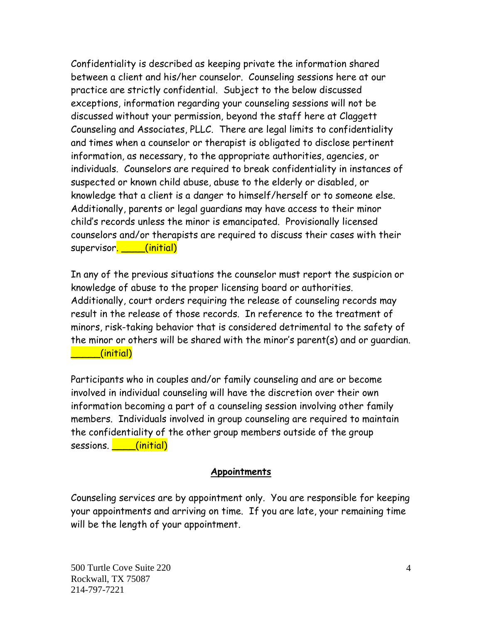Confidentiality is described as keeping private the information shared between a client and his/her counselor. Counseling sessions here at our practice are strictly confidential. Subject to the below discussed exceptions, information regarding your counseling sessions will not be discussed without your permission, beyond the staff here at Claggett Counseling and Associates, PLLC. There are legal limits to confidentiality and times when a counselor or therapist is obligated to disclose pertinent information, as necessary, to the appropriate authorities, agencies, or individuals. Counselors are required to break confidentiality in instances of suspected or known child abuse, abuse to the elderly or disabled, or knowledge that a client is a danger to himself/herself or to someone else. Additionally, parents or legal guardians may have access to their minor child's records unless the minor is emancipated. Provisionally licensed counselors and/or therapists are required to discuss their cases with their supervisor. \_\_\_\_(initial)

In any of the previous situations the counselor must report the suspicion or knowledge of abuse to the proper licensing board or authorities. Additionally, court orders requiring the release of counseling records may result in the release of those records. In reference to the treatment of minors, risk-taking behavior that is considered detrimental to the safety of the minor or others will be shared with the minor's parent(s) and or guardian. \_\_\_\_\_(initial)

Participants who in couples and/or family counseling and are or become involved in individual counseling will have the discretion over their own information becoming a part of a counseling session involving other family members. Individuals involved in group counseling are required to maintain the confidentiality of the other group members outside of the group sessions. **\_\_\_\_\_(initial)** 

#### **Appointments**

Counseling services are by appointment only. You are responsible for keeping your appointments and arriving on time. If you are late, your remaining time will be the length of your appointment.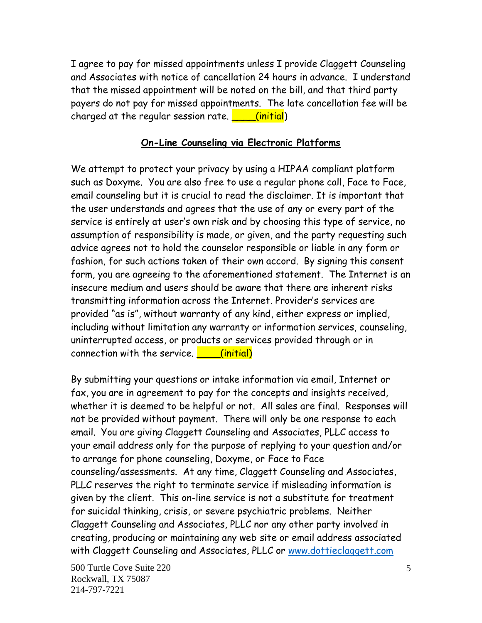I agree to pay for missed appointments unless I provide Claggett Counseling and Associates with notice of cancellation 24 hours in advance. I understand that the missed appointment will be noted on the bill, and that third party payers do not pay for missed appointments. The late cancellation fee will be charged at the regular session rate.  $\Box$  (initial)

#### **On-Line Counseling via Electronic Platforms**

We attempt to protect your privacy by using a HIPAA compliant platform such as Doxyme. You are also free to use a regular phone call, Face to Face, email counseling but it is crucial to read the disclaimer. It is important that the user understands and agrees that the use of any or every part of the service is entirely at user's own risk and by choosing this type of service, no assumption of responsibility is made, or given, and the party requesting such advice agrees not to hold the counselor responsible or liable in any form or fashion, for such actions taken of their own accord. By signing this consent form, you are agreeing to the aforementioned statement. The Internet is an insecure medium and users should be aware that there are inherent risks transmitting information across the Internet. Provider's services are provided "as is", without warranty of any kind, either express or implied, including without limitation any warranty or information services, counseling, uninterrupted access, or products or services provided through or in connection with the service.  $\Box$  (initial)

By submitting your questions or intake information via email, Internet or fax, you are in agreement to pay for the concepts and insights received, whether it is deemed to be helpful or not. All sales are final. Responses will not be provided without payment. There will only be one response to each email. You are giving Claggett Counseling and Associates, PLLC access to your email address only for the purpose of replying to your question and/or to arrange for phone counseling, Doxyme, or Face to Face counseling/assessments. At any time, Claggett Counseling and Associates, PLLC reserves the right to terminate service if misleading information is given by the client. This on-line service is not a substitute for treatment for suicidal thinking, crisis, or severe psychiatric problems. Neither Claggett Counseling and Associates, PLLC nor any other party involved in creating, producing or maintaining any web site or email address associated with Claggett Counseling and Associates, PLLC or [www.dottieclaggett.com](http://www.dottieclaggett.com/)

500 Turtle Cove Suite 220 Rockwall, TX 75087 214-797-7221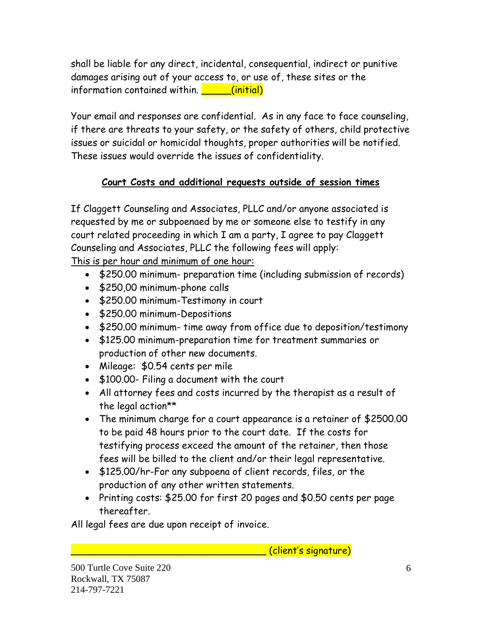shall be liable for any direct, incidental, consequential, indirect or punitive damages arising out of your access to, or use of, these sites or the information contained within. **We call (initial)** 

Your email and responses are confidential. As in any face to face counseling, if there are threats to your safety, or the safety of others, child protective issues or suicidal or homicidal thoughts, proper authorities will be notified. These issues would override the issues of confidentiality.

### **Court Costs and additional requests outside of session times**

If Claggett Counseling and Associates, PLLC and/or anyone associated is requested by me or subpoenaed by me or someone else to testify in any court related proceeding in which I am a party, I agree to pay Claggett Counseling and Associates, PLLC the following fees will apply:

This is per hour and minimum of one hour:

- \$250.00 minimum- preparation time (including submission of records)
- \$250,00 minimum-phone calls
- \$250.00 minimum-Testimony in court
- \$250.00 minimum-Depositions
- \$250.00 minimum- time away from office due to deposition/testimony
- \$125.00 minimum-preparation time for treatment summaries or production of other new documents.
- Mileage: \$0.54 cents per mile
- \$100.00- Filing a document with the court
- All attorney fees and costs incurred by the therapist as a result of the legal action\*\*
- The minimum charge for a court appearance is a retainer of \$2500.00 to be paid 48 hours prior to the court date. If the costs for testifying process exceed the amount of the retainer, then those fees will be billed to the client and/or their legal representative.
- \$125.00/hr-For any subpoena of client records, files, or the production of any other written statements.
- Printing costs: \$25.00 for first 20 pages and \$0.50 cents per page thereafter.

All legal fees are due upon receipt of invoice.

\_\_\_\_\_\_\_\_\_\_\_\_\_\_\_\_\_\_\_\_\_\_\_\_\_\_\_\_\_\_\_\_\_ (client's signature)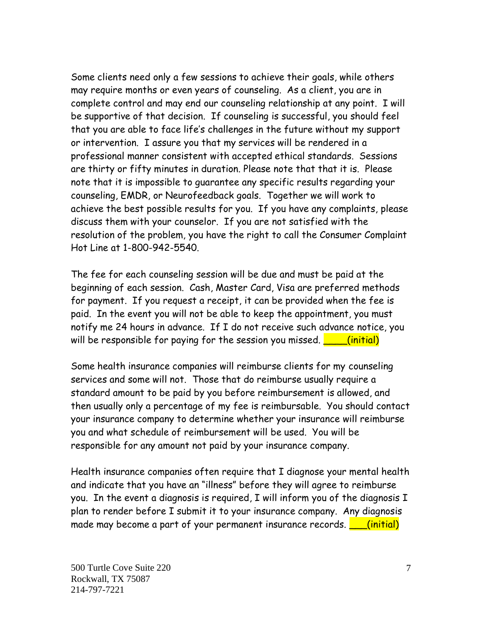Some clients need only a few sessions to achieve their goals, while others may require months or even years of counseling. As a client, you are in complete control and may end our counseling relationship at any point. I will be supportive of that decision. If counseling is successful, you should feel that you are able to face life's challenges in the future without my support or intervention. I assure you that my services will be rendered in a professional manner consistent with accepted ethical standards. Sessions are thirty or fifty minutes in duration. Please note that that it is. Please note that it is impossible to guarantee any specific results regarding your counseling, EMDR, or Neurofeedback goals. Together we will work to achieve the best possible results for you. If you have any complaints, please discuss them with your counselor. If you are not satisfied with the resolution of the problem, you have the right to call the Consumer Complaint Hot Line at 1-800-942-5540.

The fee for each counseling session will be due and must be paid at the beginning of each session. Cash, Master Card, Visa are preferred methods for payment. If you request a receipt, it can be provided when the fee is paid. In the event you will not be able to keep the appointment, you must notify me 24 hours in advance. If I do not receive such advance notice, you will be responsible for paying for the session you missed.  $\Box$  (initial)

Some health insurance companies will reimburse clients for my counseling services and some will not. Those that do reimburse usually require a standard amount to be paid by you before reimbursement is allowed, and then usually only a percentage of my fee is reimbursable. You should contact your insurance company to determine whether your insurance will reimburse you and what schedule of reimbursement will be used. You will be responsible for any amount not paid by your insurance company.

Health insurance companies often require that I diagnose your mental health and indicate that you have an "illness" before they will agree to reimburse you. In the event a diagnosis is required, I will inform you of the diagnosis I plan to render before I submit it to your insurance company. Any diagnosis made may become a part of your permanent insurance records.  $\boxed{\phantom{a}}$  (initial)